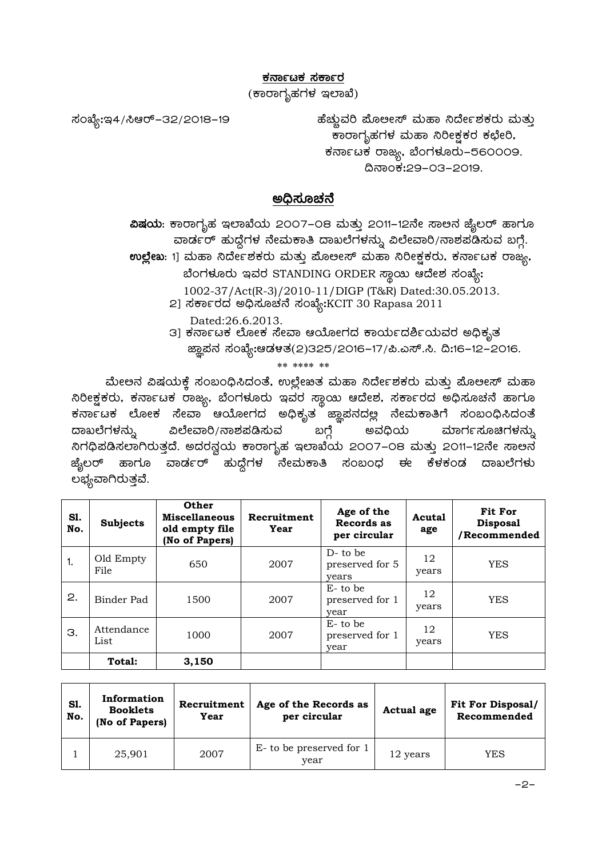## <u>ಕರ್ನಾಟಕ ಸರ್ಕಾರ</u>

(ಕಾರಾಗೃಹಗಳ ಇಲಾಖೆ)

ಸಂಖ್ಯೆ:ಇ4/ಸಿಆರ್–32/2018–19 ಹೆಚ್ಚುವರಿ ಮೊಲೕಸ್ ಮಹಾ ನಿರ್ದೇಶಕರು ಮತ್ತು ಕಾರಾಗೃಹಗಳ ಮಹಾ ನಿರೀಕ್ಷಕರ ಕಛೇರಿ, ಕರ್ನಾಟಕ ರಾಜ್ಯ, ಬೆಂಗಳೂರು–560009. ¢£ÁAPÀ:29-03-2019.

## **C¢ü¸ÀÆZÀ£É**

**ವಿಷಯ**: ಕಾರಾಗೃಹ ಇಲಾಖೆಯ 2007–08 ಮತ್ತು 2011–12ನೇ ಸಾಅನ ಜೈಲರ್ ಹಾಗೂ ವಾರ್ಡರ್ ಹುದ್ದೆಗಳ ನೇಮಕಾತಿ ದಾಖಲೆಗಳನ್ನು ವಿಲೇವಾರಿ/ನಾಶಪಡಿಸುವ ಬಗ್ಗೆ. **ಉಲ್ಲೇಖ**: 1] ಮಹಾ ನಿರ್ದೇಶಕರು ಮತ್ತು ಮೊಲೕಸ್ ಮಹಾ ನಿರೀಕ್ಷಕರು, ಕರ್ನಾಟಕ ರಾಜ್ಯ, ಬೆಂಗಳೂರು ಇವರ STANDING ORDER ಸ್ಥಾಯಿ ಆದೇಶ ಸಂಖ್ಯೆ: 1002-37/Act(R-3)/2010-11/DIGP (T&R) Dated:30.05.2013. 2] ಸರ್ಕಾರದ ಅಧಿಸೂಚನೆ ಸಂಖ್ಯೆ:KCIT 30 Rapasa 2011 Dated:26.6.2013. 3] ಕರ್ನಾಟಕ ಲೋಕ ಸೇವಾ ಆಯೋಗದ ಕಾರ್ಯದರ್ಶಿಯವರ ಅಧಿಕೃತ

ಜ್ಞಾಪನ ಸಂಖ್ಯೇ.ಆಡಳತ(2)325/2016−17/ಪಿ.ಎಸ್.ಸಿ. ದಿ:16−12−2016.

\*\* \*\*\*\* \*\*

ಮೇಅನ ವಿಷಯಕ್ತೆ ಸಂಬಂಧಿಸಿದಂತೆ, ಉಲ್ಲೇಖತ ಮಹಾ ನಿರ್ದೇಶಕರು ಮತ್ತು ಮೊಲೕಸ್ ಮಹಾ ಸಿರೀಕ್ಷಕರು, ಕರ್ನಾಟಕ ರಾಜ್ಯ, ಬೆಂಗಳೂರು ಇವರ ಸ್ಥಾಯ ಆದೇಶ, ಸರ್ಕಾರದ ಅಧಿಸೂಚನೆ ಹಾಗೂ ಕರ್ನಾಟಕ ಲೋಕ ಸೇವಾ ಆಯೋಗದ ಅಧಿಕೃತ ಜ್ಞಾಪನದಲ್ಲ ನೇಮಕಾತಿಗೆ ಸಂಬಂಧಿಸಿದಂತೆ ದಾಖಲೆಗಳನ್ನು ವಿಲೇವಾರಿ/ನಾಶಪಡಿಸುವ ಬಗ್ಗೆ ಅವಧಿಯ ಮಾರ್ಗಸೂಚಿಗಳನ್ನು ಸಿಗಧಿಪಡಿಸಲಾಗಿರುತ್ತದೆ. ಅದರನ್ವಯ ಕಾರಾಗೃಹ ಇಲಾಖೆಯ 2೦೦7–೦8 ಮತ್ತು 2೦11–12ನೇ ಸಾಅನ ಜ್ಯೆಲರ್ ಹಾಗೂ ವಾರ್ಡರ್ ಹುದ್ದೆಗಳ ನೇಮಕಾತಿ ಸಂಬಂಧ ಈ ಕೆಳಕಂಡ ದಾಖಲೆಗಳು ಲಭ್ಯವಾಗಿರುತ್ತವೆ.

| S1.<br>No. | <b>Subjects</b>    | Other<br><b>Miscellaneous</b><br>old empty file<br>(No of Papers) | Recruitment<br>Year | Age of the<br>Records as<br>per circular | Acutal<br>age | <b>Fit For</b><br><b>Disposal</b><br>/Recommended |
|------------|--------------------|-------------------------------------------------------------------|---------------------|------------------------------------------|---------------|---------------------------------------------------|
| 1.         | Old Empty<br>File  | 650                                                               | 2007                | $D$ - to be<br>preserved for 5<br>years  | 12<br>years   | <b>YES</b>                                        |
| 2.         | Binder Pad         | 1500                                                              | 2007                | $E$ - to be<br>preserved for 1<br>year   | 12<br>years   | <b>YES</b>                                        |
| З.         | Attendance<br>List | 1000                                                              | 2007                | $E$ - to be<br>preserved for 1<br>year   | 12<br>years   | YES                                               |
|            | Total:             | 3,150                                                             |                     |                                          |               |                                                   |

| S1.<br>No. | Information<br><b>Booklets</b><br>(No of Papers) | Recruitment<br>Year | Age of the Records as<br>per circular | Actual age | <b>Fit For Disposal/</b><br>Recommended |
|------------|--------------------------------------------------|---------------------|---------------------------------------|------------|-----------------------------------------|
|            | 25,901                                           | 2007                | E- to be preserved for 1<br>year      | 12 years   | YES                                     |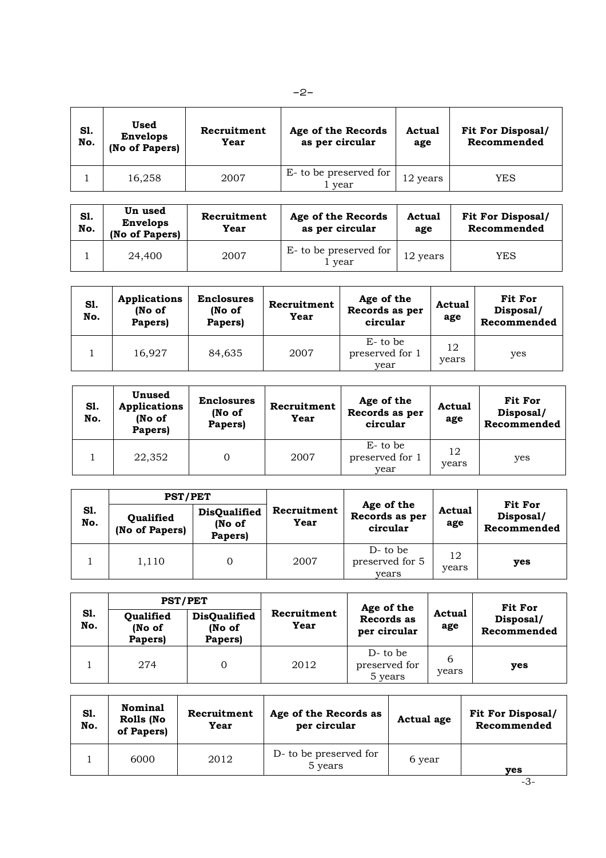| S1.<br>No. | Used<br><b>Envelops</b><br>(No of Papers) | Recruitment<br>Year | Age of the Records<br>as per circular | Actual<br>age | <b>Fit For Disposal/</b><br>Recommended |
|------------|-------------------------------------------|---------------------|---------------------------------------|---------------|-----------------------------------------|
|            | 16,258                                    | 2007                | E- to be preserved for<br>vear        | 12 years      | <b>YES</b>                              |

| S1.<br>No. | Un used<br><b>Envelops</b><br>(No of Papers) | Recruitment<br>Year | Age of the Records<br>as per circular | Actual<br>age | <b>Fit For Disposal/</b><br>Recommended |
|------------|----------------------------------------------|---------------------|---------------------------------------|---------------|-----------------------------------------|
|            | 24,400                                       | 2007                | E- to be preserved for<br>i vear      | 12 years      | YES                                     |

| S1.<br>No. | <b>Applications</b><br>(No of<br>Papers) | <b>Enclosures</b><br>(No of<br>Papers) | Recruitment<br>Year | Age of the<br>Records as per<br>circular | Actual<br>age | <b>Fit For</b><br>Disposal/<br>Recommended |
|------------|------------------------------------------|----------------------------------------|---------------------|------------------------------------------|---------------|--------------------------------------------|
|            | 16.927                                   | 84,635                                 | 2007                | $E$ - to be<br>preserved for 1<br>vear   | 12<br>years   | yes                                        |

| Sl.<br>No. | Unused<br>Applications<br>(No of<br>Papers) | <b>Enclosures</b><br>(No of<br>Papers) | Recruitment<br>Year | Age of the<br>Records as per<br>circular | Actual<br>age | Fit For<br>Disposal/<br>Recommended |
|------------|---------------------------------------------|----------------------------------------|---------------------|------------------------------------------|---------------|-------------------------------------|
|            | 22,352                                      |                                        | 2007                | $E$ - to be<br>preserved for 1<br>vear   | 12<br>years   | yes                                 |

|            | <b>PST/PET</b>              |                                          |                     |                                          |               | <b>Fit For</b>           |
|------------|-----------------------------|------------------------------------------|---------------------|------------------------------------------|---------------|--------------------------|
| S1.<br>No. | Qualified<br>(No of Papers) | <b>DisQualified</b><br>(No of<br>Papers) | Recruitment<br>Year | Age of the<br>Records as per<br>circular | Actual<br>age | Disposal/<br>Recommended |
|            | 1,110                       |                                          | 2007                | $D$ - to be<br>preserved for 5<br>vears  | 12<br>years   | ves                      |

|            | <b>PST/PET</b>                 |                                          |                     | Age of the                              |               | Fit For                  |
|------------|--------------------------------|------------------------------------------|---------------------|-----------------------------------------|---------------|--------------------------|
| S1.<br>No. | Qualified<br>(No of<br>Papers) | <b>DisQualified</b><br>(No of<br>Papers) | Recruitment<br>Year | Records as<br>per circular              | Actual<br>age | Disposal/<br>Recommended |
|            | 274                            |                                          | 2012                | $D$ - to be<br>preserved for<br>5 years | 6<br>years    | <b>ves</b>               |

| S1.<br>No. | <b>Nominal</b><br>Rolls (No<br>of Papers) | Recruitment<br>Year | Age of the Records as<br>per circular | Actual age | <b>Fit For Disposal/</b><br>Recommended |
|------------|-------------------------------------------|---------------------|---------------------------------------|------------|-----------------------------------------|
|            | 6000                                      | 2012                | D- to be preserved for<br>5 years     | 6 year     | ves                                     |

-3-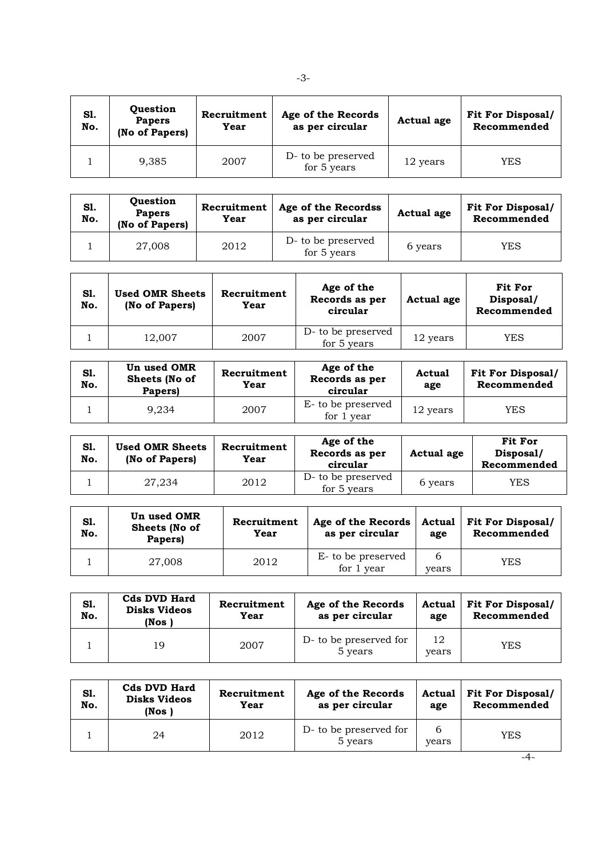| S1.<br>No. | Question<br><b>Papers</b><br>(No of Papers) | Recruitment<br>Year | Age of the Records<br>as per circular | Actual age | <b>Fit For Disposal/</b><br>Recommended |
|------------|---------------------------------------------|---------------------|---------------------------------------|------------|-----------------------------------------|
|            | 9,385                                       | 2007                | D- to be preserved<br>for $5$ years   | 12 years   | YES                                     |

| S1.<br>No. | Question<br><b>Papers</b><br>(No of Papers) | Recruitment<br>Year | Age of the Recordss<br>as per circular | Actual age | <b>Fit For Disposal/</b><br>Recommended |
|------------|---------------------------------------------|---------------------|----------------------------------------|------------|-----------------------------------------|
|            | 27,008                                      | 2012                | D- to be preserved<br>for 5 years      | 6 years    | YES                                     |

| S1.<br>No. | <b>Used OMR Sheets</b><br>(No of Papers) | Recruitment<br>Year | Age of the<br>Records as per<br>circular | Actual age | Fit For<br>Disposal/<br>Recommended |
|------------|------------------------------------------|---------------------|------------------------------------------|------------|-------------------------------------|
|            | 12.007                                   | 2007                | D- to be preserved<br>for 5 years        | 12 years   | <b>YES</b>                          |

| S1.<br>No. | Un used OMR<br>Sheets (No of<br><b>Papers)</b> | Recruitment<br>Year | Age of the<br>Records as per<br>circular | Actual<br>age | <b>Fit For Disposal/</b><br>Recommended |
|------------|------------------------------------------------|---------------------|------------------------------------------|---------------|-----------------------------------------|
|            | 9.234                                          | 2007                | E- to be preserved<br>for 1 year         | 12 years      | YES                                     |

| Sl.<br>No. | <b>Used OMR Sheets</b><br>(No of Papers) | Recruitment<br>Year | Age of the<br>Records as per<br>circular | Actual age | Fit For<br>Disposal/<br>Recommended |
|------------|------------------------------------------|---------------------|------------------------------------------|------------|-------------------------------------|
|            | 27.234                                   | 2012                | D- to be preserved<br>for 5 years        | 6 years    | YES                                 |

| S1.<br>No. | Un used OMR<br>Sheets (No of<br>Papers) | Recruitment<br>Year | Age of the Records<br>as per circular | age        | Actual   Fit For Disposal/<br>Recommended |
|------------|-----------------------------------------|---------------------|---------------------------------------|------------|-------------------------------------------|
|            | 27,008                                  | 2012                | E- to be preserved<br>for 1 year      | b<br>years | <b>YES</b>                                |

| S1.<br>No. | <b>Cds DVD Hard</b><br><b>Disks Videos</b><br>(Nos ) | Recruitment<br>Year | Age of the Records<br>as per circular | age         | Actual   Fit For Disposal/<br>Recommended |
|------------|------------------------------------------------------|---------------------|---------------------------------------|-------------|-------------------------------------------|
|            | 19                                                   | 2007                | D- to be preserved for<br>5 years     | 12<br>vears | <b>YES</b>                                |

| S1.<br>No. | <b>Cds DVD Hard</b><br><b>Disks Videos</b><br>(Nos) | Recruitment<br>Year | Age of the Records<br>as per circular | Actual<br>age | <b>Fit For Disposal/</b><br>Recommended |
|------------|-----------------------------------------------------|---------------------|---------------------------------------|---------------|-----------------------------------------|
|            | 24                                                  | 2012                | D- to be preserved for<br>5 years     | 6<br>years    | YES                                     |

-3-

-4-